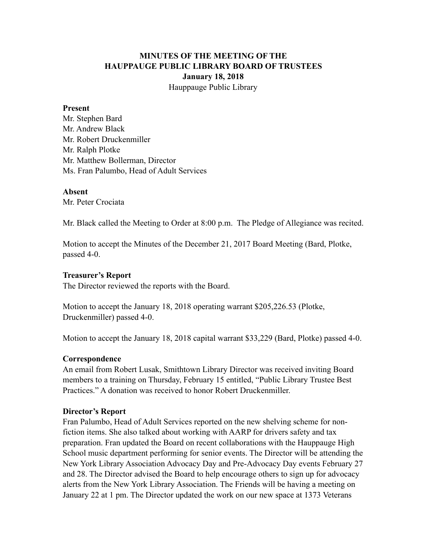# **MINUTES OF THE MEETING OF THE HAUPPAUGE PUBLIC LIBRARY BOARD OF TRUSTEES January 18, 2018** Hauppauge Public Library

### **Present**

Mr. Stephen Bard Mr. Andrew Black Mr. Robert Druckenmiller Mr. Ralph Plotke Mr. Matthew Bollerman, Director Ms. Fran Palumbo, Head of Adult Services

### **Absent**

Mr. Peter Crociata

Mr. Black called the Meeting to Order at 8:00 p.m. The Pledge of Allegiance was recited.

Motion to accept the Minutes of the December 21, 2017 Board Meeting (Bard, Plotke, passed 4-0.

### **Treasurer's Report**

The Director reviewed the reports with the Board.

Motion to accept the January 18, 2018 operating warrant \$205,226.53 (Plotke, Druckenmiller) passed 4-0.

Motion to accept the January 18, 2018 capital warrant \$33,229 (Bard, Plotke) passed 4-0.

#### **Correspondence**

An email from Robert Lusak, Smithtown Library Director was received inviting Board members to a training on Thursday, February 15 entitled, "Public Library Trustee Best Practices." A donation was received to honor Robert Druckenmiller.

#### **Director's Report**

Fran Palumbo, Head of Adult Services reported on the new shelving scheme for nonfiction items. She also talked about working with AARP for drivers safety and tax preparation. Fran updated the Board on recent collaborations with the Hauppauge High School music department performing for senior events. The Director will be attending the New York Library Association Advocacy Day and Pre-Advocacy Day events February 27 and 28. The Director advised the Board to help encourage others to sign up for advocacy alerts from the New York Library Association. The Friends will be having a meeting on January 22 at 1 pm. The Director updated the work on our new space at 1373 Veterans